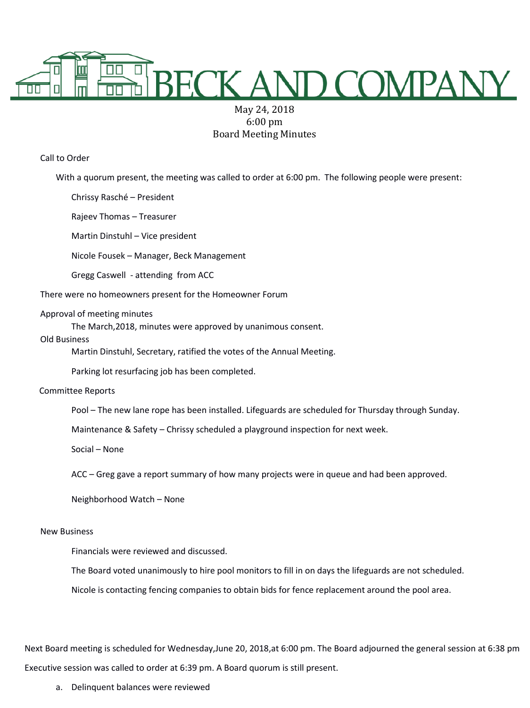

# May 24, 2018 6:00 pm Board Meeting Minutes

Call to Order

With a quorum present, the meeting was called to order at 6:00 pm. The following people were present:

Chrissy Rasché – President

Rajeev Thomas – Treasurer

Martin Dinstuhl – Vice president

Nicole Fousek – Manager, Beck Management

Gregg Caswell - attending from ACC

There were no homeowners present for the Homeowner Forum

#### Approval of meeting minutes

The March,2018, minutes were approved by unanimous consent.

#### Old Business

Martin Dinstuhl, Secretary, ratified the votes of the Annual Meeting.

Parking lot resurfacing job has been completed.

## Committee Reports

Pool – The new lane rope has been installed. Lifeguards are scheduled for Thursday through Sunday.

Maintenance & Safety – Chrissy scheduled a playground inspection for next week.

Social – None

ACC – Greg gave a report summary of how many projects were in queue and had been approved.

Neighborhood Watch – None

## New Business

Financials were reviewed and discussed.

The Board voted unanimously to hire pool monitors to fill in on days the lifeguards are not scheduled.

Nicole is contacting fencing companies to obtain bids for fence replacement around the pool area.

Next Board meeting is scheduled for Wednesday,June 20, 2018,at 6:00 pm. The Board adjourned the general session at 6:38 pm Executive session was called to order at 6:39 pm. A Board quorum is still present.

a. Delinquent balances were reviewed